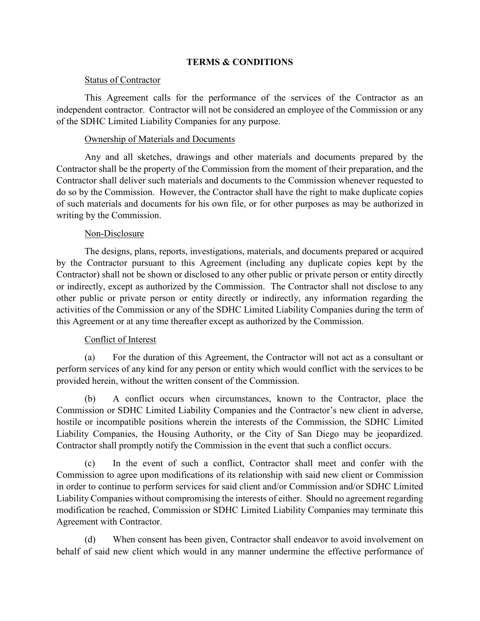#### **TERMS & CONDITIONS**

#### Status of Contractor

This Agreement calls for the performance of the services of the Contractor as an independent contractor. Contractor will not be considered an employee of the Commission or any of the SDHC Limited Liability Companies for any purpose.

#### Ownership of Materials and Documents

Any and all sketches, drawings and other materials and documents prepared by the Contractor shall be the property of the Commission from the moment of their preparation, and the Contractor shall deliver such materials and documents to the Commission whenever requested to do so by the Commission. However, the Contractor shall have the right to make duplicate copies of such materials and documents for his own file, or for other purposes as may be authorized in writing by the Commission.

#### Non-Disclosure

The designs, plans, reports, investigations, materials, and documents prepared or acquired by the Contractor pursuant to this Agreement (including any duplicate copies kept by the Contractor) shall not be shown or disclosed to any other public or private person or entity directly or indirectly, except as authorized by the Commission. The Contractor shall not disclose to any other public or private person or entity directly or indirectly, any information regarding the activities of the Commission or any of the SDHC Limited Liability Companies during the term of this Agreement or at any time thereafter except as authorized by the Commission.

### Conflict of Interest

(a) For the duration of this Agreement, the Contractor will not act as a consultant or perform services of any kind for any person or entity which would conflict with the services to be provided herein, without the written consent of the Commission.

(b) A conflict occurs when circumstances, known to the Contractor, place the Commission or SDHC Limited Liability Companies and the Contractor's new client in adverse, hostile or incompatible positions wherein the interests of the Commission, the SDHC Limited Liability Companies, the Housing Authority, or the City of San Diego may be jeopardized. Contractor shall promptly notify the Commission in the event that such a conflict occurs.

(c) In the event of such a conflict, Contractor shall meet and confer with the Commission to agree upon modifications of its relationship with said new client or Commission in order to continue to perform services for said client and/or Commission and/or SDHC Limited Liability Companies without compromising the interests of either. Should no agreement regarding modification be reached, Commission or SDHC Limited Liability Companies may terminate this Agreement with Contractor.

(d) When consent has been given, Contractor shall endeavor to avoid involvement on behalf of said new client which would in any manner undermine the effective performance of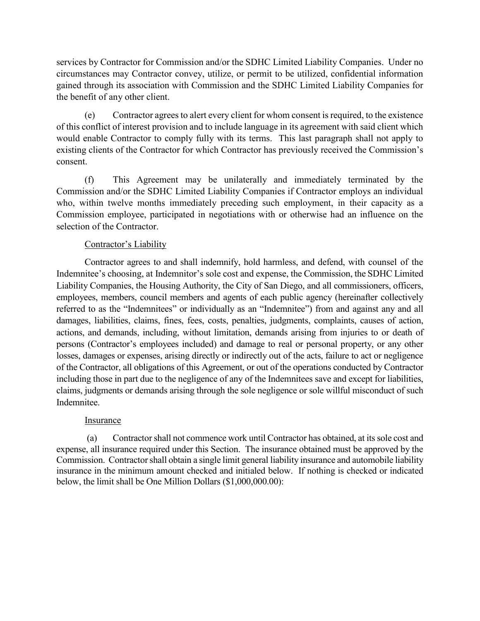services by Contractor for Commission and/or the SDHC Limited Liability Companies. Under no circumstances may Contractor convey, utilize, or permit to be utilized, confidential information gained through its association with Commission and the SDHC Limited Liability Companies for the benefit of any other client.

(e) Contractor agrees to alert every client for whom consent is required, to the existence of this conflict of interest provision and to include language in its agreement with said client which would enable Contractor to comply fully with its terms. This last paragraph shall not apply to existing clients of the Contractor for which Contractor has previously received the Commission's consent.

(f) This Agreement may be unilaterally and immediately terminated by the Commission and/or the SDHC Limited Liability Companies if Contractor employs an individual who, within twelve months immediately preceding such employment, in their capacity as a Commission employee, participated in negotiations with or otherwise had an influence on the selection of the Contractor.

# Contractor's Liability

Contractor agrees to and shall indemnify, hold harmless, and defend, with counsel of the Indemnitee's choosing, at Indemnitor's sole cost and expense, the Commission, the SDHC Limited Liability Companies, the Housing Authority, the City of San Diego, and all commissioners, officers, employees, members, council members and agents of each public agency (hereinafter collectively referred to as the "Indemnitees" or individually as an "Indemnitee") from and against any and all damages, liabilities, claims, fines, fees, costs, penalties, judgments, complaints, causes of action, actions, and demands, including, without limitation, demands arising from injuries to or death of persons (Contractor's employees included) and damage to real or personal property, or any other losses, damages or expenses, arising directly or indirectly out of the acts, failure to act or negligence of the Contractor, all obligations of this Agreement, or out of the operations conducted by Contractor including those in part due to the negligence of any of the Indemnitees save and except for liabilities, claims, judgments or demands arising through the sole negligence or sole willful misconduct of such Indemnitee.

# Insurance

(a) Contractor shall not commence work until Contractor has obtained, at its sole cost and expense, all insurance required under this Section. The insurance obtained must be approved by the Commission. Contractor shall obtain a single limit general liability insurance and automobile liability insurance in the minimum amount checked and initialed below. If nothing is checked or indicated below, the limit shall be One Million Dollars (\$1,000,000.00):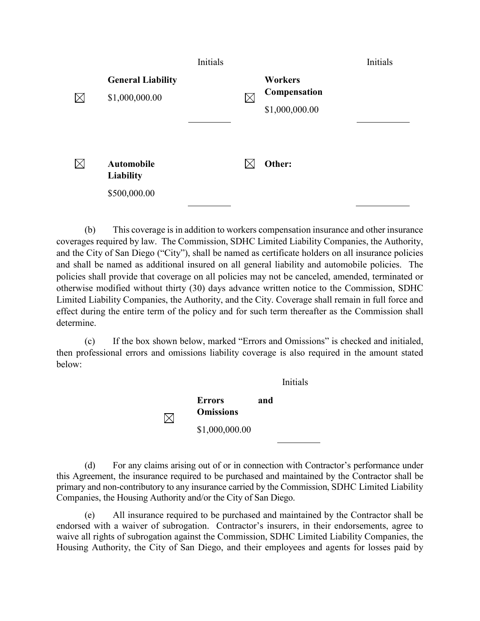|     |                                                       | Initials |          |                                                  | Initials |
|-----|-------------------------------------------------------|----------|----------|--------------------------------------------------|----------|
| IXI | <b>General Liability</b><br>\$1,000,000.00            |          | $\times$ | <b>Workers</b><br>Compensation<br>\$1,000,000.00 |          |
| IXI | <b>Automobile</b><br><b>Liability</b><br>\$500,000.00 |          |          | Other:                                           |          |

(b) This coverage is in addition to workers compensation insurance and other insurance coverages required by law. The Commission, SDHC Limited Liability Companies, the Authority, and the City of San Diego ("City"), shall be named as certificate holders on all insurance policies and shall be named as additional insured on all general liability and automobile policies. The policies shall provide that coverage on all policies may not be canceled, amended, terminated or otherwise modified without thirty (30) days advance written notice to the Commission, SDHC Limited Liability Companies, the Authority, and the City. Coverage shall remain in full force and effect during the entire term of the policy and for such term thereafter as the Commission shall determine.

(c) If the box shown below, marked "Errors and Omissions" is checked and initialed, then professional errors and omissions liability coverage is also required in the amount stated below:

> Initials **Errors and Omissions**  $\boxtimes$ \$1,000,000.00

(d) For any claims arising out of or in connection with Contractor's performance under this Agreement, the insurance required to be purchased and maintained by the Contractor shall be primary and non-contributory to any insurance carried by the Commission, SDHC Limited Liability Companies, the Housing Authority and/or the City of San Diego.

(e) All insurance required to be purchased and maintained by the Contractor shall be endorsed with a waiver of subrogation. Contractor's insurers, in their endorsements, agree to waive all rights of subrogation against the Commission, SDHC Limited Liability Companies, the Housing Authority, the City of San Diego, and their employees and agents for losses paid by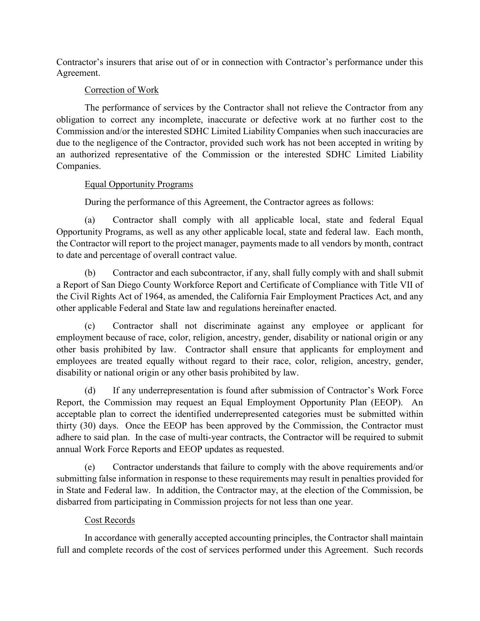Contractor's insurers that arise out of or in connection with Contractor's performance under this Agreement.

# Correction of Work

The performance of services by the Contractor shall not relieve the Contractor from any obligation to correct any incomplete, inaccurate or defective work at no further cost to the Commission and/or the interested SDHC Limited Liability Companies when such inaccuracies are due to the negligence of the Contractor, provided such work has not been accepted in writing by an authorized representative of the Commission or the interested SDHC Limited Liability Companies.

# Equal Opportunity Programs

During the performance of this Agreement, the Contractor agrees as follows:

(a) Contractor shall comply with all applicable local, state and federal Equal Opportunity Programs, as well as any other applicable local, state and federal law. Each month, the Contractor will report to the project manager, payments made to all vendors by month, contract to date and percentage of overall contract value.

(b) Contractor and each subcontractor, if any, shall fully comply with and shall submit a Report of San Diego County Workforce Report and Certificate of Compliance with Title VII of the Civil Rights Act of 1964, as amended, the California Fair Employment Practices Act, and any other applicable Federal and State law and regulations hereinafter enacted.

(c) Contractor shall not discriminate against any employee or applicant for employment because of race, color, religion, ancestry, gender, disability or national origin or any other basis prohibited by law. Contractor shall ensure that applicants for employment and employees are treated equally without regard to their race, color, religion, ancestry, gender, disability or national origin or any other basis prohibited by law.

(d) If any underrepresentation is found after submission of Contractor's Work Force Report, the Commission may request an Equal Employment Opportunity Plan (EEOP). An acceptable plan to correct the identified underrepresented categories must be submitted within thirty (30) days. Once the EEOP has been approved by the Commission, the Contractor must adhere to said plan. In the case of multi-year contracts, the Contractor will be required to submit annual Work Force Reports and EEOP updates as requested.

(e) Contractor understands that failure to comply with the above requirements and/or submitting false information in response to these requirements may result in penalties provided for in State and Federal law. In addition, the Contractor may, at the election of the Commission, be disbarred from participating in Commission projects for not less than one year.

# Cost Records

In accordance with generally accepted accounting principles, the Contractor shall maintain full and complete records of the cost of services performed under this Agreement. Such records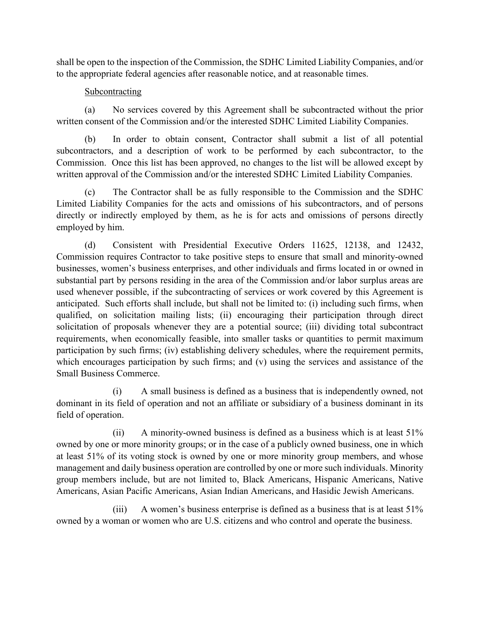shall be open to the inspection of the Commission, the SDHC Limited Liability Companies, and/or to the appropriate federal agencies after reasonable notice, and at reasonable times.

### Subcontracting

(a) No services covered by this Agreement shall be subcontracted without the prior written consent of the Commission and/or the interested SDHC Limited Liability Companies.

(b) In order to obtain consent, Contractor shall submit a list of all potential subcontractors, and a description of work to be performed by each subcontractor, to the Commission. Once this list has been approved, no changes to the list will be allowed except by written approval of the Commission and/or the interested SDHC Limited Liability Companies.

(c) The Contractor shall be as fully responsible to the Commission and the SDHC Limited Liability Companies for the acts and omissions of his subcontractors, and of persons directly or indirectly employed by them, as he is for acts and omissions of persons directly employed by him.

(d) Consistent with Presidential Executive Orders 11625, 12138, and 12432, Commission requires Contractor to take positive steps to ensure that small and minority-owned businesses, women's business enterprises, and other individuals and firms located in or owned in substantial part by persons residing in the area of the Commission and/or labor surplus areas are used whenever possible, if the subcontracting of services or work covered by this Agreement is anticipated. Such efforts shall include, but shall not be limited to: (i) including such firms, when qualified, on solicitation mailing lists; (ii) encouraging their participation through direct solicitation of proposals whenever they are a potential source; (iii) dividing total subcontract requirements, when economically feasible, into smaller tasks or quantities to permit maximum participation by such firms; (iv) establishing delivery schedules, where the requirement permits, which encourages participation by such firms; and (v) using the services and assistance of the Small Business Commerce.

(i) A small business is defined as a business that is independently owned, not dominant in its field of operation and not an affiliate or subsidiary of a business dominant in its field of operation.

(ii) A minority-owned business is defined as a business which is at least 51% owned by one or more minority groups; or in the case of a publicly owned business, one in which at least 51% of its voting stock is owned by one or more minority group members, and whose management and daily business operation are controlled by one or more such individuals. Minority group members include, but are not limited to, Black Americans, Hispanic Americans, Native Americans, Asian Pacific Americans, Asian Indian Americans, and Hasidic Jewish Americans.

(iii) A women's business enterprise is defined as a business that is at least 51% owned by a woman or women who are U.S. citizens and who control and operate the business.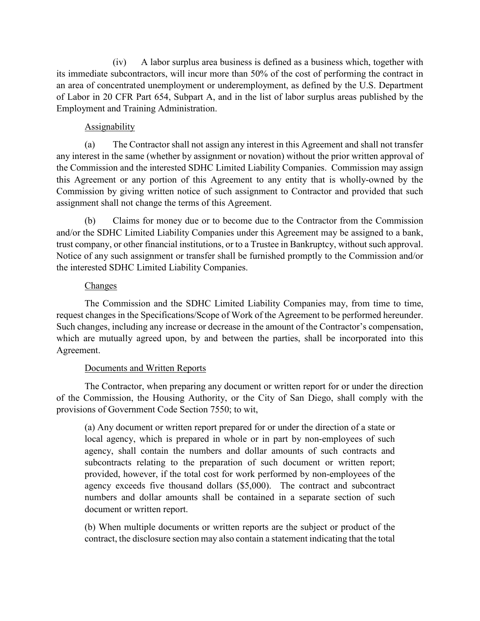(iv) A labor surplus area business is defined as a business which, together with its immediate subcontractors, will incur more than 50% of the cost of performing the contract in an area of concentrated unemployment or underemployment, as defined by the U.S. Department of Labor in 20 CFR Part 654, Subpart A, and in the list of labor surplus areas published by the Employment and Training Administration.

### Assignability

(a) The Contractor shall not assign any interest in this Agreement and shall not transfer any interest in the same (whether by assignment or novation) without the prior written approval of the Commission and the interested SDHC Limited Liability Companies. Commission may assign this Agreement or any portion of this Agreement to any entity that is wholly-owned by the Commission by giving written notice of such assignment to Contractor and provided that such assignment shall not change the terms of this Agreement.

(b) Claims for money due or to become due to the Contractor from the Commission and/or the SDHC Limited Liability Companies under this Agreement may be assigned to a bank, trust company, or other financial institutions, or to a Trustee in Bankruptcy, without such approval. Notice of any such assignment or transfer shall be furnished promptly to the Commission and/or the interested SDHC Limited Liability Companies.

### **Changes**

The Commission and the SDHC Limited Liability Companies may, from time to time, request changes in the Specifications/Scope of Work of the Agreement to be performed hereunder. Such changes, including any increase or decrease in the amount of the Contractor's compensation, which are mutually agreed upon, by and between the parties, shall be incorporated into this Agreement.

# Documents and Written Reports

The Contractor, when preparing any document or written report for or under the direction of the Commission, the Housing Authority, or the City of San Diego, shall comply with the provisions of Government Code Section 7550; to wit,

(a) Any document or written report prepared for or under the direction of a state or local agency, which is prepared in whole or in part by non-employees of such agency, shall contain the numbers and dollar amounts of such contracts and subcontracts relating to the preparation of such document or written report; provided, however, if the total cost for work performed by non-employees of the agency exceeds five thousand dollars (\$5,000). The contract and subcontract numbers and dollar amounts shall be contained in a separate section of such document or written report.

(b) When multiple documents or written reports are the subject or product of the contract, the disclosure section may also contain a statement indicating that the total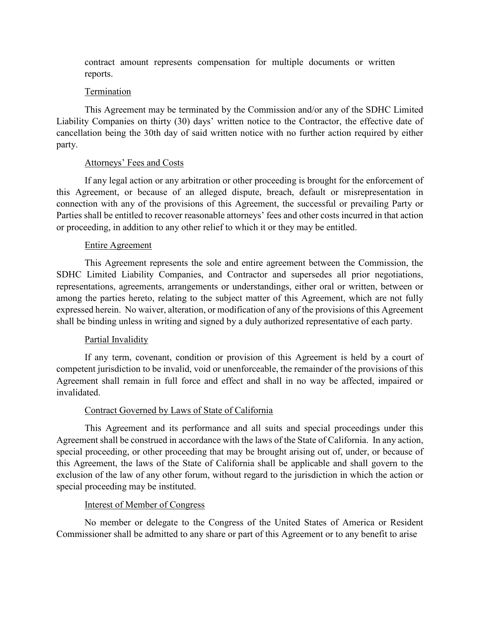contract amount represents compensation for multiple documents or written reports.

#### Termination

This Agreement may be terminated by the Commission and/or any of the SDHC Limited Liability Companies on thirty (30) days' written notice to the Contractor, the effective date of cancellation being the 30th day of said written notice with no further action required by either party.

### Attorneys' Fees and Costs

If any legal action or any arbitration or other proceeding is brought for the enforcement of this Agreement, or because of an alleged dispute, breach, default or misrepresentation in connection with any of the provisions of this Agreement, the successful or prevailing Party or Parties shall be entitled to recover reasonable attorneys' fees and other costs incurred in that action or proceeding, in addition to any other relief to which it or they may be entitled.

#### Entire Agreement

This Agreement represents the sole and entire agreement between the Commission, the SDHC Limited Liability Companies, and Contractor and supersedes all prior negotiations, representations, agreements, arrangements or understandings, either oral or written, between or among the parties hereto, relating to the subject matter of this Agreement, which are not fully expressed herein. No waiver, alteration, or modification of any of the provisions of this Agreement shall be binding unless in writing and signed by a duly authorized representative of each party.

#### Partial Invalidity

If any term, covenant, condition or provision of this Agreement is held by a court of competent jurisdiction to be invalid, void or unenforceable, the remainder of the provisions of this Agreement shall remain in full force and effect and shall in no way be affected, impaired or invalidated.

### Contract Governed by Laws of State of California

This Agreement and its performance and all suits and special proceedings under this Agreement shall be construed in accordance with the laws of the State of California. In any action, special proceeding, or other proceeding that may be brought arising out of, under, or because of this Agreement, the laws of the State of California shall be applicable and shall govern to the exclusion of the law of any other forum, without regard to the jurisdiction in which the action or special proceeding may be instituted.

### Interest of Member of Congress

No member or delegate to the Congress of the United States of America or Resident Commissioner shall be admitted to any share or part of this Agreement or to any benefit to arise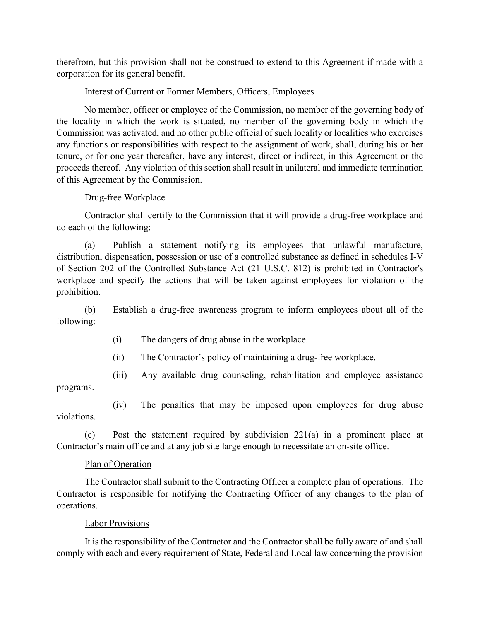therefrom, but this provision shall not be construed to extend to this Agreement if made with a corporation for its general benefit.

### Interest of Current or Former Members, Officers, Employees

No member, officer or employee of the Commission, no member of the governing body of the locality in which the work is situated, no member of the governing body in which the Commission was activated, and no other public official of such locality or localities who exercises any functions or responsibilities with respect to the assignment of work, shall, during his or her tenure, or for one year thereafter, have any interest, direct or indirect, in this Agreement or the proceeds thereof. Any violation of this section shall result in unilateral and immediate termination of this Agreement by the Commission.

# Drug-free Workplace

Contractor shall certify to the Commission that it will provide a drug-free workplace and do each of the following:

(a) Publish a statement notifying its employees that unlawful manufacture, distribution, dispensation, possession or use of a controlled substance as defined in schedules I-V of Section 202 of the Controlled Substance Act (21 U.S.C. 812) is prohibited in Contractor's workplace and specify the actions that will be taken against employees for violation of the prohibition.

(b) Establish a drug-free awareness program to inform employees about all of the following:

- (i) The dangers of drug abuse in the workplace.
- (ii) The Contractor's policy of maintaining a drug-free workplace.

(iii) Any available drug counseling, rehabilitation and employee assistance

programs.

(iv) The penalties that may be imposed upon employees for drug abuse violations.

(c) Post the statement required by subdivision 221(a) in a prominent place at Contractor's main office and at any job site large enough to necessitate an on-site office.

# Plan of Operation

The Contractor shall submit to the Contracting Officer a complete plan of operations. The Contractor is responsible for notifying the Contracting Officer of any changes to the plan of operations.

# Labor Provisions

It is the responsibility of the Contractor and the Contractor shall be fully aware of and shall comply with each and every requirement of State, Federal and Local law concerning the provision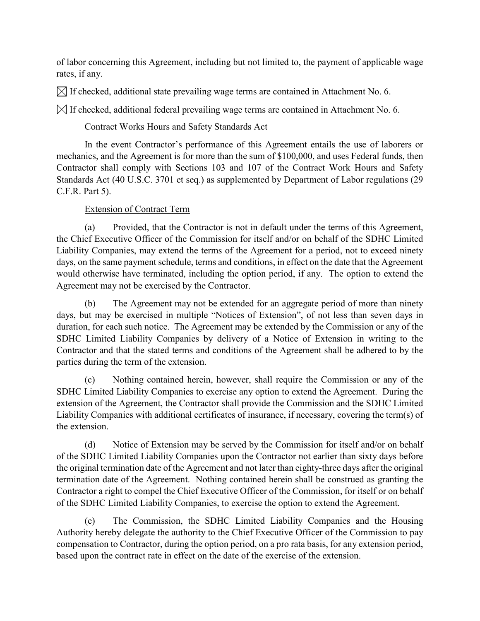of labor concerning this Agreement, including but not limited to, the payment of applicable wage rates, if any.

 $\boxtimes$  If checked, additional state prevailing wage terms are contained in Attachment No. 6.

 $\bowtie$  If checked, additional federal prevailing wage terms are contained in Attachment No. 6.

# Contract Works Hours and Safety Standards Act

In the event Contractor's performance of this Agreement entails the use of laborers or mechanics, and the Agreement is for more than the sum of \$100,000, and uses Federal funds, then Contractor shall comply with Sections 103 and 107 of the Contract Work Hours and Safety Standards Act (40 U.S.C. 3701 et seq.) as supplemented by Department of Labor regulations (29 C.F.R. Part 5).

# Extension of Contract Term

(a) Provided, that the Contractor is not in default under the terms of this Agreement, the Chief Executive Officer of the Commission for itself and/or on behalf of the SDHC Limited Liability Companies, may extend the terms of the Agreement for a period, not to exceed ninety days, on the same payment schedule, terms and conditions, in effect on the date that the Agreement would otherwise have terminated, including the option period, if any. The option to extend the Agreement may not be exercised by the Contractor.

(b) The Agreement may not be extended for an aggregate period of more than ninety days, but may be exercised in multiple "Notices of Extension", of not less than seven days in duration, for each such notice. The Agreement may be extended by the Commission or any of the SDHC Limited Liability Companies by delivery of a Notice of Extension in writing to the Contractor and that the stated terms and conditions of the Agreement shall be adhered to by the parties during the term of the extension.

(c) Nothing contained herein, however, shall require the Commission or any of the SDHC Limited Liability Companies to exercise any option to extend the Agreement. During the extension of the Agreement, the Contractor shall provide the Commission and the SDHC Limited Liability Companies with additional certificates of insurance, if necessary, covering the term(s) of the extension.

(d) Notice of Extension may be served by the Commission for itself and/or on behalf of the SDHC Limited Liability Companies upon the Contractor not earlier than sixty days before the original termination date of the Agreement and not later than eighty-three days after the original termination date of the Agreement. Nothing contained herein shall be construed as granting the Contractor a right to compel the Chief Executive Officer of the Commission, for itself or on behalf of the SDHC Limited Liability Companies, to exercise the option to extend the Agreement.

(e) The Commission, the SDHC Limited Liability Companies and the Housing Authority hereby delegate the authority to the Chief Executive Officer of the Commission to pay compensation to Contractor, during the option period, on a pro rata basis, for any extension period, based upon the contract rate in effect on the date of the exercise of the extension.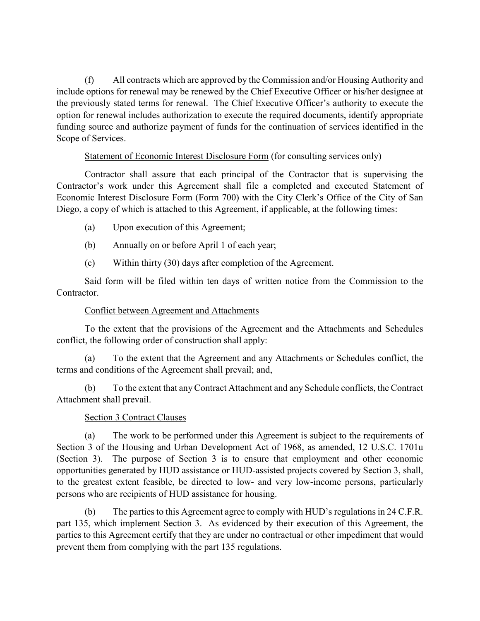(f) All contracts which are approved by the Commission and/or Housing Authority and include options for renewal may be renewed by the Chief Executive Officer or his/her designee at the previously stated terms for renewal. The Chief Executive Officer's authority to execute the option for renewal includes authorization to execute the required documents, identify appropriate funding source and authorize payment of funds for the continuation of services identified in the Scope of Services.

### Statement of Economic Interest Disclosure Form (for consulting services only)

Contractor shall assure that each principal of the Contractor that is supervising the Contractor's work under this Agreement shall file a completed and executed Statement of Economic Interest Disclosure Form (Form 700) with the City Clerk's Office of the City of San Diego, a copy of which is attached to this Agreement, if applicable, at the following times:

- (a) Upon execution of this Agreement;
- (b) Annually on or before April 1 of each year;
- (c) Within thirty (30) days after completion of the Agreement.

Said form will be filed within ten days of written notice from the Commission to the Contractor.

# Conflict between Agreement and Attachments

To the extent that the provisions of the Agreement and the Attachments and Schedules conflict, the following order of construction shall apply:

(a) To the extent that the Agreement and any Attachments or Schedules conflict, the terms and conditions of the Agreement shall prevail; and,

(b) To the extent that any Contract Attachment and any Schedule conflicts, the Contract Attachment shall prevail.

# Section 3 Contract Clauses

(a) The work to be performed under this Agreement is subject to the requirements of Section 3 of the Housing and Urban Development Act of 1968, as amended, 12 U.S.C. 1701u (Section 3). The purpose of Section 3 is to ensure that employment and other economic opportunities generated by HUD assistance or HUD-assisted projects covered by Section 3, shall, to the greatest extent feasible, be directed to low- and very low-income persons, particularly persons who are recipients of HUD assistance for housing.

(b) The parties to this Agreement agree to comply with HUD's regulations in 24 C.F.R. part 135, which implement Section 3. As evidenced by their execution of this Agreement, the parties to this Agreement certify that they are under no contractual or other impediment that would prevent them from complying with the part 135 regulations.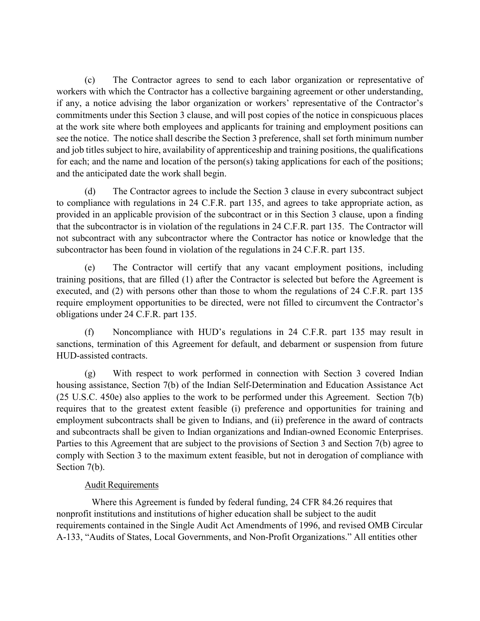(c) The Contractor agrees to send to each labor organization or representative of workers with which the Contractor has a collective bargaining agreement or other understanding, if any, a notice advising the labor organization or workers' representative of the Contractor's commitments under this Section 3 clause, and will post copies of the notice in conspicuous places at the work site where both employees and applicants for training and employment positions can see the notice. The notice shall describe the Section 3 preference, shall set forth minimum number and job titles subject to hire, availability of apprenticeship and training positions, the qualifications for each; and the name and location of the person(s) taking applications for each of the positions; and the anticipated date the work shall begin.

(d) The Contractor agrees to include the Section 3 clause in every subcontract subject to compliance with regulations in 24 C.F.R. part 135, and agrees to take appropriate action, as provided in an applicable provision of the subcontract or in this Section 3 clause, upon a finding that the subcontractor is in violation of the regulations in 24 C.F.R. part 135. The Contractor will not subcontract with any subcontractor where the Contractor has notice or knowledge that the subcontractor has been found in violation of the regulations in 24 C.F.R. part 135.

(e) The Contractor will certify that any vacant employment positions, including training positions, that are filled (1) after the Contractor is selected but before the Agreement is executed, and (2) with persons other than those to whom the regulations of 24 C.F.R. part 135 require employment opportunities to be directed, were not filled to circumvent the Contractor's obligations under 24 C.F.R. part 135.

(f) Noncompliance with HUD's regulations in 24 C.F.R. part 135 may result in sanctions, termination of this Agreement for default, and debarment or suspension from future HUD-assisted contracts.

(g) With respect to work performed in connection with Section 3 covered Indian housing assistance, Section 7(b) of the Indian Self-Determination and Education Assistance Act (25 U.S.C. 450e) also applies to the work to be performed under this Agreement. Section 7(b) requires that to the greatest extent feasible (i) preference and opportunities for training and employment subcontracts shall be given to Indians, and (ii) preference in the award of contracts and subcontracts shall be given to Indian organizations and Indian-owned Economic Enterprises. Parties to this Agreement that are subject to the provisions of Section 3 and Section 7(b) agree to comply with Section 3 to the maximum extent feasible, but not in derogation of compliance with Section 7(b).

# Audit Requirements

 Where this Agreement is funded by federal funding, 24 CFR 84.26 requires that nonprofit institutions and institutions of higher education shall be subject to the audit requirements contained in the Single Audit Act Amendments of 1996, and revised OMB Circular A-133, "Audits of States, Local Governments, and Non-Profit Organizations." All entities other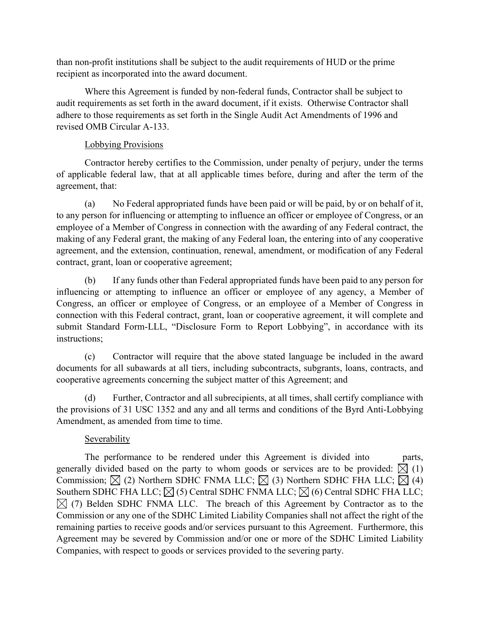than non-profit institutions shall be subject to the audit requirements of HUD or the prime recipient as incorporated into the award document.

Where this Agreement is funded by non-federal funds, Contractor shall be subject to audit requirements as set forth in the award document, if it exists. Otherwise Contractor shall adhere to those requirements as set forth in the Single Audit Act Amendments of 1996 and revised OMB Circular A-133.

# Lobbying Provisions

Contractor hereby certifies to the Commission, under penalty of perjury, under the terms of applicable federal law, that at all applicable times before, during and after the term of the agreement, that:

(a) No Federal appropriated funds have been paid or will be paid, by or on behalf of it, to any person for influencing or attempting to influence an officer or employee of Congress, or an employee of a Member of Congress in connection with the awarding of any Federal contract, the making of any Federal grant, the making of any Federal loan, the entering into of any cooperative agreement, and the extension, continuation, renewal, amendment, or modification of any Federal contract, grant, loan or cooperative agreement;

(b) If any funds other than Federal appropriated funds have been paid to any person for influencing or attempting to influence an officer or employee of any agency, a Member of Congress, an officer or employee of Congress, or an employee of a Member of Congress in connection with this Federal contract, grant, loan or cooperative agreement, it will complete and submit Standard Form-LLL, "Disclosure Form to Report Lobbying", in accordance with its instructions;

(c) Contractor will require that the above stated language be included in the award documents for all subawards at all tiers, including subcontracts, subgrants, loans, contracts, and cooperative agreements concerning the subject matter of this Agreement; and

(d) Further, Contractor and all subrecipients, at all times, shall certify compliance with the provisions of 31 USC 1352 and any and all terms and conditions of the Byrd Anti-Lobbying Amendment, as amended from time to time.

# Severability

The performance to be rendered under this Agreement is divided into parts, generally divided based on the party to whom goods or services are to be provided:  $\overline{X}$  (1) Commission;  $\boxtimes$  (2) Northern SDHC FNMA LLC;  $\boxtimes$  (3) Northern SDHC FHA LLC;  $\boxtimes$  (4) Southern SDHC FHA LLC;  $\boxtimes$  (5) Central SDHC FNMA LLC;  $\boxtimes$  (6) Central SDHC FHA LLC;  $\boxtimes$  (7) Belden SDHC FNMA LLC. The breach of this Agreement by Contractor as to the Commission or any one of the SDHC Limited Liability Companies shall not affect the right of the remaining parties to receive goods and/or services pursuant to this Agreement. Furthermore, this Agreement may be severed by Commission and/or one or more of the SDHC Limited Liability Companies, with respect to goods or services provided to the severing party.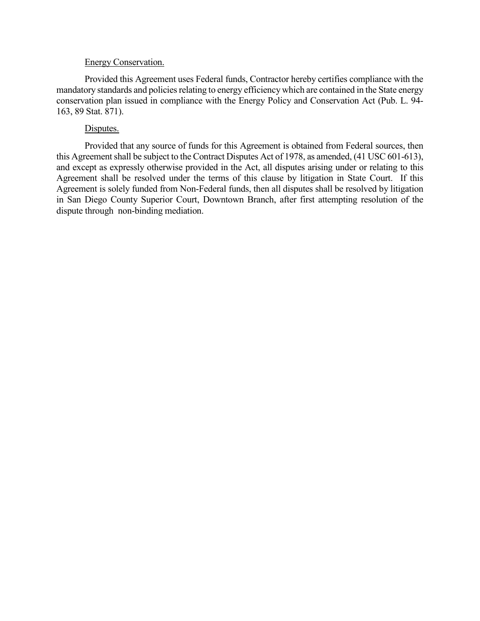#### Energy Conservation.

Provided this Agreement uses Federal funds, Contractor hereby certifies compliance with the mandatory standards and policies relating to energy efficiency which are contained in the State energy conservation plan issued in compliance with the Energy Policy and Conservation Act (Pub. L. 94- 163, 89 Stat. 871).

#### Disputes.

Provided that any source of funds for this Agreement is obtained from Federal sources, then this Agreement shall be subject to the Contract Disputes Act of 1978, as amended, (41 USC 601-613), and except as expressly otherwise provided in the Act, all disputes arising under or relating to this Agreement shall be resolved under the terms of this clause by litigation in State Court. If this Agreement is solely funded from Non-Federal funds, then all disputes shall be resolved by litigation in San Diego County Superior Court, Downtown Branch, after first attempting resolution of the dispute through non-binding mediation.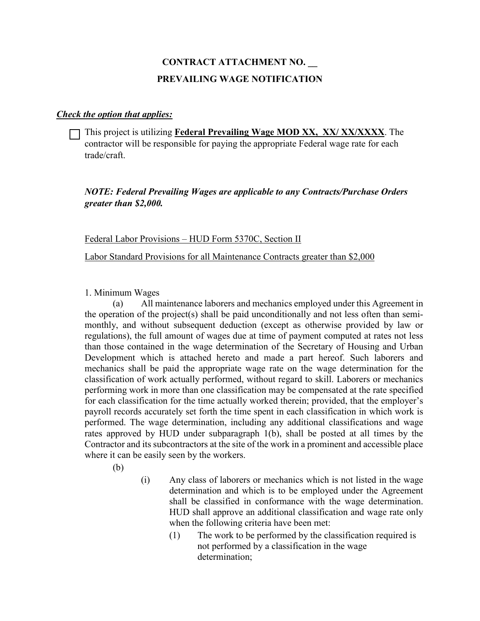# **CONTRACT ATTACHMENT NO. \_\_ PREVAILING WAGE NOTIFICATION**

#### *Check the option that applies:*

This project is utilizing **Federal Prevailing Wage MOD XX, XX/ XX/XXXX**. The contractor will be responsible for paying the appropriate Federal wage rate for each trade/craft.

### *NOTE: Federal Prevailing Wages are applicable to any Contracts/Purchase Orders greater than \$2,000.*

Federal Labor Provisions – HUD Form 5370C, Section II

Labor Standard Provisions for all Maintenance Contracts greater than \$2,000

1. Minimum Wages

(a) All maintenance laborers and mechanics employed under this Agreement in the operation of the project(s) shall be paid unconditionally and not less often than semimonthly, and without subsequent deduction (except as otherwise provided by law or regulations), the full amount of wages due at time of payment computed at rates not less than those contained in the wage determination of the Secretary of Housing and Urban Development which is attached hereto and made a part hereof. Such laborers and mechanics shall be paid the appropriate wage rate on the wage determination for the classification of work actually performed, without regard to skill. Laborers or mechanics performing work in more than one classification may be compensated at the rate specified for each classification for the time actually worked therein; provided, that the employer's payroll records accurately set forth the time spent in each classification in which work is performed. The wage determination, including any additional classifications and wage rates approved by HUD under subparagraph 1(b), shall be posted at all times by the Contractor and its subcontractors at the site of the work in a prominent and accessible place where it can be easily seen by the workers.

(b)

- (i) Any class of laborers or mechanics which is not listed in the wage determination and which is to be employed under the Agreement shall be classified in conformance with the wage determination. HUD shall approve an additional classification and wage rate only when the following criteria have been met:
	- (1) The work to be performed by the classification required is not performed by a classification in the wage determination;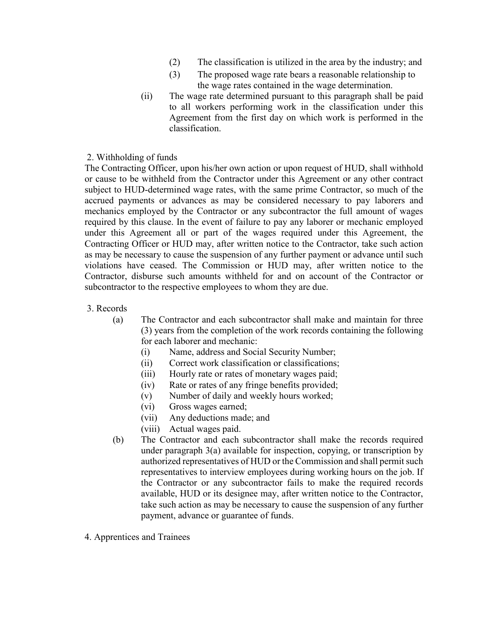- (2) The classification is utilized in the area by the industry; and
- (3) The proposed wage rate bears a reasonable relationship to the wage rates contained in the wage determination.
- (ii) The wage rate determined pursuant to this paragraph shall be paid to all workers performing work in the classification under this Agreement from the first day on which work is performed in the classification.

#### 2. Withholding of funds

The Contracting Officer, upon his/her own action or upon request of HUD, shall withhold or cause to be withheld from the Contractor under this Agreement or any other contract subject to HUD-determined wage rates, with the same prime Contractor, so much of the accrued payments or advances as may be considered necessary to pay laborers and mechanics employed by the Contractor or any subcontractor the full amount of wages required by this clause. In the event of failure to pay any laborer or mechanic employed under this Agreement all or part of the wages required under this Agreement, the Contracting Officer or HUD may, after written notice to the Contractor, take such action as may be necessary to cause the suspension of any further payment or advance until such violations have ceased. The Commission or HUD may, after written notice to the Contractor, disburse such amounts withheld for and on account of the Contractor or subcontractor to the respective employees to whom they are due.

- 3. Records
	- (a) The Contractor and each subcontractor shall make and maintain for three (3) years from the completion of the work records containing the following for each laborer and mechanic:
		- (i) Name, address and Social Security Number;
		- (ii) Correct work classification or classifications;
		- (iii) Hourly rate or rates of monetary wages paid;
		- (iv) Rate or rates of any fringe benefits provided;
		- (v) Number of daily and weekly hours worked;
		- (vi) Gross wages earned;
		- (vii) Any deductions made; and
		- (viii) Actual wages paid.
	- (b) The Contractor and each subcontractor shall make the records required under paragraph 3(a) available for inspection, copying, or transcription by authorized representatives of HUD or the Commission and shall permit such representatives to interview employees during working hours on the job. If the Contractor or any subcontractor fails to make the required records available, HUD or its designee may, after written notice to the Contractor, take such action as may be necessary to cause the suspension of any further payment, advance or guarantee of funds.
- 4. Apprentices and Trainees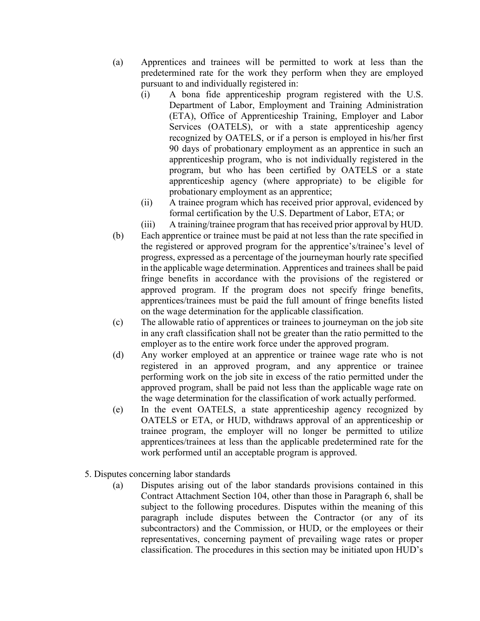- (a) Apprentices and trainees will be permitted to work at less than the predetermined rate for the work they perform when they are employed pursuant to and individually registered in:
	- (i) A bona fide apprenticeship program registered with the U.S. Department of Labor, Employment and Training Administration (ETA), Office of Apprenticeship Training, Employer and Labor Services (OATELS), or with a state apprenticeship agency recognized by OATELS, or if a person is employed in his/her first 90 days of probationary employment as an apprentice in such an apprenticeship program, who is not individually registered in the program, but who has been certified by OATELS or a state apprenticeship agency (where appropriate) to be eligible for probationary employment as an apprentice;
	- (ii) A trainee program which has received prior approval, evidenced by formal certification by the U.S. Department of Labor, ETA; or
	- (iii) A training/trainee program that has received prior approval by HUD.
- (b) Each apprentice or trainee must be paid at not less than the rate specified in the registered or approved program for the apprentice's/trainee's level of progress, expressed as a percentage of the journeyman hourly rate specified in the applicable wage determination. Apprentices and trainees shall be paid fringe benefits in accordance with the provisions of the registered or approved program. If the program does not specify fringe benefits, apprentices/trainees must be paid the full amount of fringe benefits listed on the wage determination for the applicable classification.
- (c) The allowable ratio of apprentices or trainees to journeyman on the job site in any craft classification shall not be greater than the ratio permitted to the employer as to the entire work force under the approved program.
- (d) Any worker employed at an apprentice or trainee wage rate who is not registered in an approved program, and any apprentice or trainee performing work on the job site in excess of the ratio permitted under the approved program, shall be paid not less than the applicable wage rate on the wage determination for the classification of work actually performed.
- (e) In the event OATELS, a state apprenticeship agency recognized by OATELS or ETA, or HUD, withdraws approval of an apprenticeship or trainee program, the employer will no longer be permitted to utilize apprentices/trainees at less than the applicable predetermined rate for the work performed until an acceptable program is approved.
- 5. Disputes concerning labor standards
	- (a) Disputes arising out of the labor standards provisions contained in this Contract Attachment Section 104, other than those in Paragraph 6, shall be subject to the following procedures. Disputes within the meaning of this paragraph include disputes between the Contractor (or any of its subcontractors) and the Commission, or HUD, or the employees or their representatives, concerning payment of prevailing wage rates or proper classification. The procedures in this section may be initiated upon HUD's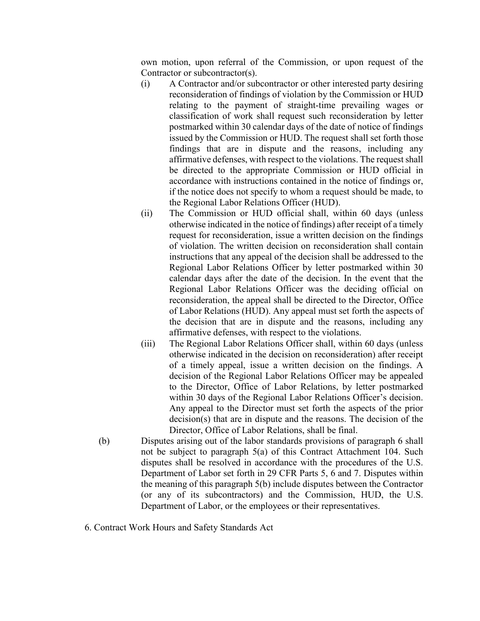own motion, upon referral of the Commission, or upon request of the Contractor or subcontractor(s).

- (i) A Contractor and/or subcontractor or other interested party desiring reconsideration of findings of violation by the Commission or HUD relating to the payment of straight-time prevailing wages or classification of work shall request such reconsideration by letter postmarked within 30 calendar days of the date of notice of findings issued by the Commission or HUD. The request shall set forth those findings that are in dispute and the reasons, including any affirmative defenses, with respect to the violations. The request shall be directed to the appropriate Commission or HUD official in accordance with instructions contained in the notice of findings or, if the notice does not specify to whom a request should be made, to the Regional Labor Relations Officer (HUD).
- (ii) The Commission or HUD official shall, within 60 days (unless otherwise indicated in the notice of findings) after receipt of a timely request for reconsideration, issue a written decision on the findings of violation. The written decision on reconsideration shall contain instructions that any appeal of the decision shall be addressed to the Regional Labor Relations Officer by letter postmarked within 30 calendar days after the date of the decision. In the event that the Regional Labor Relations Officer was the deciding official on reconsideration, the appeal shall be directed to the Director, Office of Labor Relations (HUD). Any appeal must set forth the aspects of the decision that are in dispute and the reasons, including any affirmative defenses, with respect to the violations.
- (iii) The Regional Labor Relations Officer shall, within 60 days (unless otherwise indicated in the decision on reconsideration) after receipt of a timely appeal, issue a written decision on the findings. A decision of the Regional Labor Relations Officer may be appealed to the Director, Office of Labor Relations, by letter postmarked within 30 days of the Regional Labor Relations Officer's decision. Any appeal to the Director must set forth the aspects of the prior decision(s) that are in dispute and the reasons. The decision of the Director, Office of Labor Relations, shall be final.
- (b) Disputes arising out of the labor standards provisions of paragraph 6 shall not be subject to paragraph 5(a) of this Contract Attachment 104. Such disputes shall be resolved in accordance with the procedures of the U.S. Department of Labor set forth in 29 CFR Parts 5, 6 and 7. Disputes within the meaning of this paragraph 5(b) include disputes between the Contractor (or any of its subcontractors) and the Commission, HUD, the U.S. Department of Labor, or the employees or their representatives.
- 6. Contract Work Hours and Safety Standards Act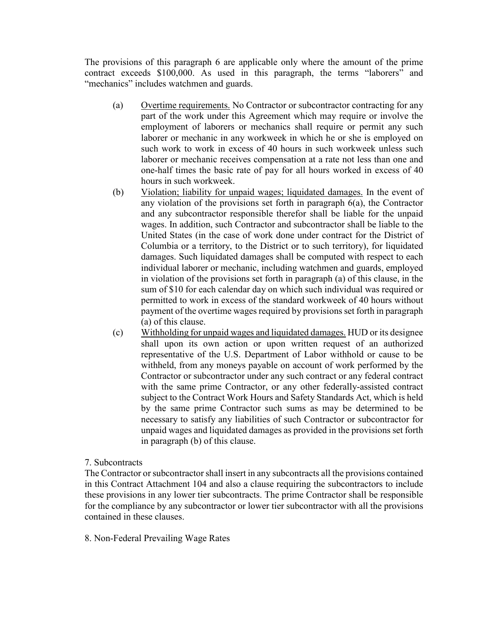The provisions of this paragraph 6 are applicable only where the amount of the prime contract exceeds \$100,000. As used in this paragraph, the terms "laborers" and "mechanics" includes watchmen and guards.

- (a) Overtime requirements. No Contractor or subcontractor contracting for any part of the work under this Agreement which may require or involve the employment of laborers or mechanics shall require or permit any such laborer or mechanic in any workweek in which he or she is employed on such work to work in excess of 40 hours in such workweek unless such laborer or mechanic receives compensation at a rate not less than one and one-half times the basic rate of pay for all hours worked in excess of 40 hours in such workweek.
- (b) Violation; liability for unpaid wages; liquidated damages. In the event of any violation of the provisions set forth in paragraph 6(a), the Contractor and any subcontractor responsible therefor shall be liable for the unpaid wages. In addition, such Contractor and subcontractor shall be liable to the United States (in the case of work done under contract for the District of Columbia or a territory, to the District or to such territory), for liquidated damages. Such liquidated damages shall be computed with respect to each individual laborer or mechanic, including watchmen and guards, employed in violation of the provisions set forth in paragraph (a) of this clause, in the sum of \$10 for each calendar day on which such individual was required or permitted to work in excess of the standard workweek of 40 hours without payment of the overtime wages required by provisions set forth in paragraph (a) of this clause.
- (c) Withholding for unpaid wages and liquidated damages. HUD or its designee shall upon its own action or upon written request of an authorized representative of the U.S. Department of Labor withhold or cause to be withheld, from any moneys payable on account of work performed by the Contractor or subcontractor under any such contract or any federal contract with the same prime Contractor, or any other federally-assisted contract subject to the Contract Work Hours and Safety Standards Act, which is held by the same prime Contractor such sums as may be determined to be necessary to satisfy any liabilities of such Contractor or subcontractor for unpaid wages and liquidated damages as provided in the provisions set forth in paragraph (b) of this clause.

#### 7. Subcontracts

The Contractor or subcontractor shall insert in any subcontracts all the provisions contained in this Contract Attachment 104 and also a clause requiring the subcontractors to include these provisions in any lower tier subcontracts. The prime Contractor shall be responsible for the compliance by any subcontractor or lower tier subcontractor with all the provisions contained in these clauses.

8. Non-Federal Prevailing Wage Rates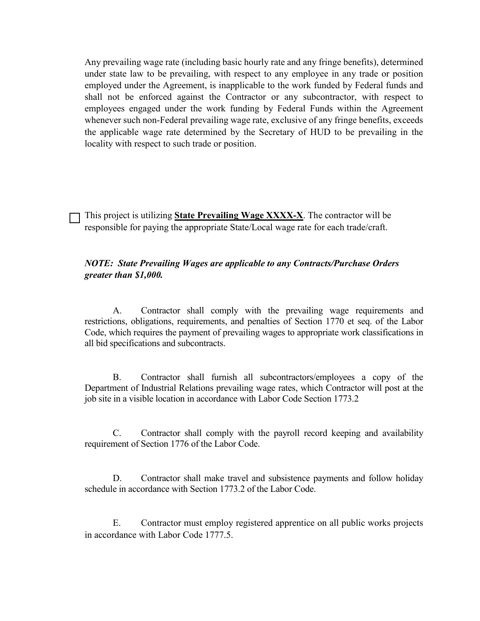Any prevailing wage rate (including basic hourly rate and any fringe benefits), determined under state law to be prevailing, with respect to any employee in any trade or position employed under the Agreement, is inapplicable to the work funded by Federal funds and shall not be enforced against the Contractor or any subcontractor, with respect to employees engaged under the work funding by Federal Funds within the Agreement whenever such non-Federal prevailing wage rate, exclusive of any fringe benefits, exceeds the applicable wage rate determined by the Secretary of HUD to be prevailing in the locality with respect to such trade or position.

This project is utilizing **State Prevailing Wage XXXX-X**. The contractor will be responsible for paying the appropriate State/Local wage rate for each trade/craft.

#### *NOTE: State Prevailing Wages are applicable to any Contracts/Purchase Orders greater than \$1,000.*

A. Contractor shall comply with the prevailing wage requirements and restrictions, obligations, requirements, and penalties of Section 1770 et seq. of the Labor Code, which requires the payment of prevailing wages to appropriate work classifications in all bid specifications and subcontracts.

B. Contractor shall furnish all subcontractors/employees a copy of the Department of Industrial Relations prevailing wage rates, which Contractor will post at the job site in a visible location in accordance with Labor Code Section 1773.2

C. Contractor shall comply with the payroll record keeping and availability requirement of Section 1776 of the Labor Code.

D. Contractor shall make travel and subsistence payments and follow holiday schedule in accordance with Section 1773.2 of the Labor Code.

E. Contractor must employ registered apprentice on all public works projects in accordance with Labor Code 1777.5.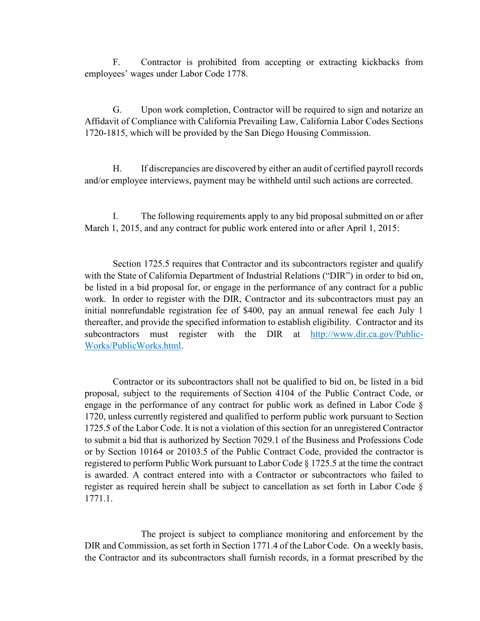F. Contractor is prohibited from accepting or extracting kickbacks from employees' wages under Labor Code 1778.

G. Upon work completion, Contractor will be required to sign and notarize an Affidavit of Compliance with California Prevailing Law, California Labor Codes Sections 1720-1815, which will be provided by the San Diego Housing Commission.

H. If discrepancies are discovered by either an audit of certified payroll records and/or employee interviews, payment may be withheld until such actions are corrected.

I. The following requirements apply to any bid proposal submitted on or after March 1, 2015, and any contract for public work entered into or after April 1, 2015:

Section 1725.5 requires that Contractor and its subcontractors register and qualify with the State of California Department of Industrial Relations ("DIR") in order to bid on, be listed in a bid proposal for, or engage in the performance of any contract for a public work. In order to register with the DIR, Contractor and its subcontractors must pay an initial nonrefundable registration fee of \$400, pay an annual renewal fee each July 1 thereafter, and provide the specified information to establish eligibility. Contractor and its subcontractors must register with the DIR at [http://www.dir.ca.gov/Public-](http://www.dir.ca.gov/Public-Works/PublicWorks.html)[Works/PublicWorks.html.](http://www.dir.ca.gov/Public-Works/PublicWorks.html)

Contractor or its subcontractors shall not be qualified to bid on, be listed in a bid proposal, subject to the requirements of Section 4104 of the Public Contract Code, or engage in the performance of any contract for public work as defined in Labor Code § 1720, unless currently registered and qualified to perform public work pursuant to Section 1725.5 of the Labor Code. It is not a violation of this section for an unregistered Contractor to submit a bid that is authorized by Section 7029.1 of the Business and Professions Code or by Section 10164 or 20103.5 of the Public Contract Code, provided the contractor is registered to perform Public Work pursuant to Labor Code § 1725.5 at the time the contract is awarded. A contract entered into with a Contractor or subcontractors who failed to register as required herein shall be subject to cancellation as set forth in Labor Code § 1771.1.

The project is subject to compliance monitoring and enforcement by the DIR and Commission, as set forth in Section 1771.4 of the Labor Code. On a weekly basis, the Contractor and its subcontractors shall furnish records, in a format prescribed by the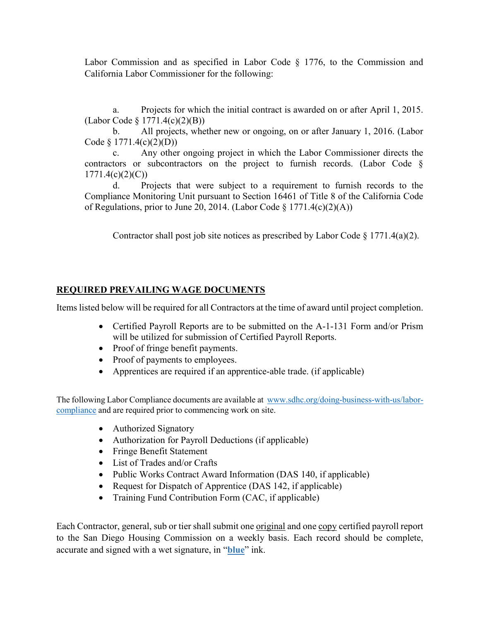Labor Commission and as specified in Labor Code § 1776, to the Commission and California Labor Commissioner for the following:

a. Projects for which the initial contract is awarded on or after April 1, 2015. (Labor Code § 1771.4(c)(2)(B))

b. All projects, whether new or ongoing, on or after January 1, 2016. (Labor Code § 1771.4(c)(2)(D))

c. Any other ongoing project in which the Labor Commissioner directs the contractors or subcontractors on the project to furnish records. (Labor Code §  $1771.4(c)(2)(C)$ 

d. Projects that were subject to a requirement to furnish records to the Compliance Monitoring Unit pursuant to Section 16461 of Title 8 of the California Code of Regulations, prior to June 20, 2014. (Labor Code § 1771.4(c)(2)(A))

Contractor shall post job site notices as prescribed by Labor Code  $\S$  1771.4(a)(2).

### **REQUIRED PREVAILING WAGE DOCUMENTS**

Items listed below will be required for all Contractors at the time of award until project completion.

- Certified Payroll Reports are to be submitted on the A-1-131 Form and/or Prism will be utilized for submission of Certified Payroll Reports.
- Proof of fringe benefit payments.
- Proof of payments to employees.
- Apprentices are required if an apprentice-able trade. (if applicable)

The following Labor Compliance documents are available at [www.sdhc.org/doing-business-with-us/labor](http://www.sdhc.org/doing-business-with-us/labor-compliance)[compliance](http://www.sdhc.org/doing-business-with-us/labor-compliance) and are required prior to commencing work on site.

- Authorized Signatory
- Authorization for Payroll Deductions (if applicable)
- Fringe Benefit Statement
- List of Trades and/or Crafts
- Public Works Contract Award Information (DAS 140, if applicable)
- Request for Dispatch of Apprentice (DAS 142, if applicable)
- Training Fund Contribution Form (CAC, if applicable)

Each Contractor, general, sub or tier shall submit one original and one copy certified payroll report to the San Diego Housing Commission on a weekly basis. Each record should be complete, accurate and signed with a wet signature, in "**blue**" ink.